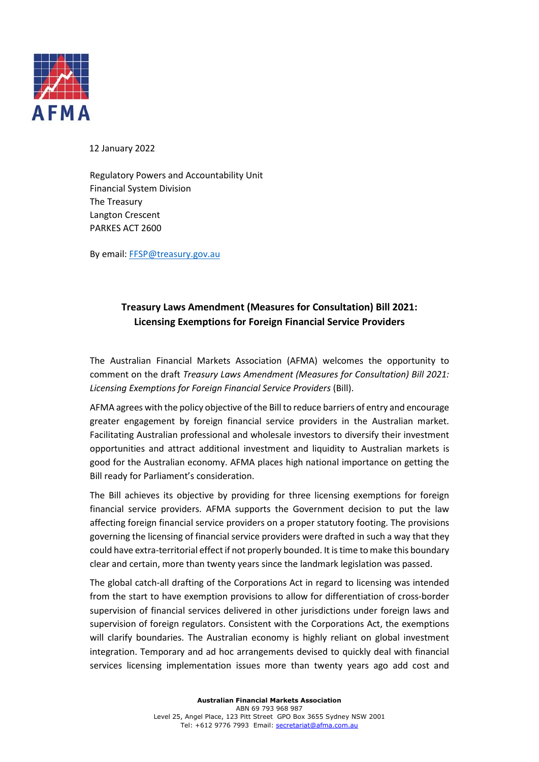

12 January 2022

Regulatory Powers and Accountability Unit Financial System Division The Treasury Langton Crescent PARKES ACT 2600

By email: FFSP@treasury.gov.au

# **Treasury Laws Amendment (Measures for Consultation) Bill 2021: Licensing Exemptions for Foreign Financial Service Providers**

The Australian Financial Markets Association (AFMA) welcomes the opportunity to comment on the draft *Treasury Laws Amendment (Measures for Consultation) Bill 2021: Licensing Exemptions for Foreign Financial Service Providers* (Bill).

AFMA agrees with the policy objective of the Bill to reduce barriers of entry and encourage greater engagement by foreign financial service providers in the Australian market. Facilitating Australian professional and wholesale investors to diversify their investment opportunities and attract additional investment and liquidity to Australian markets is good for the Australian economy. AFMA places high national importance on getting the Bill ready for Parliament's consideration.

The Bill achieves its objective by providing for three licensing exemptions for foreign financial service providers. AFMA supports the Government decision to put the law affecting foreign financial service providers on a proper statutory footing. The provisions governing the licensing of financial service providers were drafted in such a way that they could have extra-territorial effect if not properly bounded. It is time to make this boundary clear and certain, more than twenty years since the landmark legislation was passed.

The global catch-all drafting of the Corporations Act in regard to licensing was intended from the start to have exemption provisions to allow for differentiation of cross-border supervision of financial services delivered in other jurisdictions under foreign laws and supervision of foreign regulators. Consistent with the Corporations Act, the exemptions will clarify boundaries. The Australian economy is highly reliant on global investment integration. Temporary and ad hoc arrangements devised to quickly deal with financial services licensing implementation issues more than twenty years ago add cost and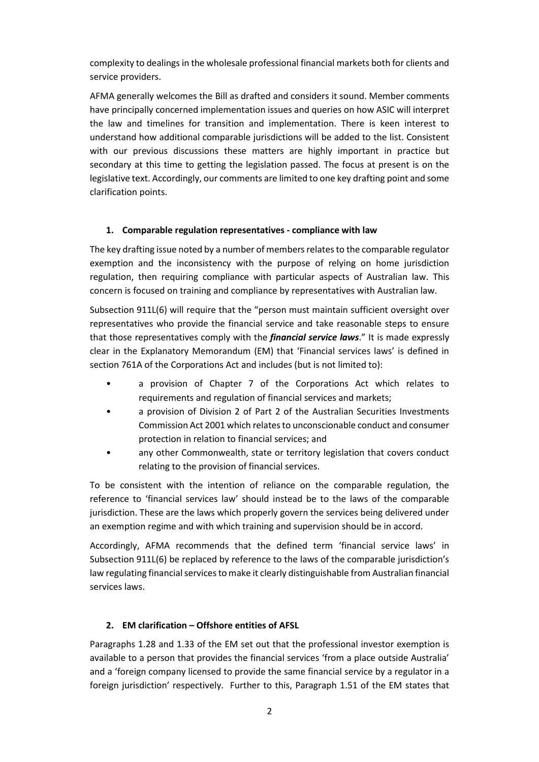complexity to dealings in the wholesale professional financial markets both for clients and service providers.

AFMA generally welcomes the Bill as drafted and considers it sound. Member comments have principally concerned implementation issues and queries on how ASIC will interpret the law and timelines for transition and implementation. There is keen interest to understand how additional comparable jurisdictions will be added to the list. Consistent with our previous discussions these matters are highly important in practice but secondary at this time to getting the legislation passed. The focus at present is on the legislative text. Accordingly, our comments are limited to one key drafting point and some clarification points.

## **1. Comparable regulation representatives - compliance with law**

The key drafting issue noted by a number of members relates to the comparable regulator exemption and the inconsistency with the purpose of relying on home jurisdiction regulation, then requiring compliance with particular aspects of Australian law. This concern is focused on training and compliance by representatives with Australian law.

Subsection 911L(6) will require that the "person must maintain sufficient oversight over representatives who provide the financial service and take reasonable steps to ensure that those representatives comply with the *financial service laws*." It is made expressly clear in the Explanatory Memorandum (EM) that 'Financial services laws' is defined in section 761A of the Corporations Act and includes (but is not limited to):

- a provision of Chapter 7 of the Corporations Act which relates to requirements and regulation of financial services and markets;
- a provision of Division 2 of Part 2 of the Australian Securities Investments Commission Act 2001 which relates to unconscionable conduct and consumer protection in relation to financial services; and
- any other Commonwealth, state or territory legislation that covers conduct relating to the provision of financial services.

To be consistent with the intention of reliance on the comparable regulation, the reference to 'financial services law' should instead be to the laws of the comparable jurisdiction. These are the laws which properly govern the services being delivered under an exemption regime and with which training and supervision should be in accord.

Accordingly, AFMA recommends that the defined term 'financial service laws' in Subsection 911L(6) be replaced by reference to the laws of the comparable jurisdiction's law regulating financial services to make it clearly distinguishable from Australian financial services laws.

## **2. EM clarification – Offshore entities of AFSL**

Paragraphs 1.28 and 1.33 of the EM set out that the professional investor exemption is available to a person that provides the financial services 'from a place outside Australia' and a 'foreign company licensed to provide the same financial service by a regulator in a foreign jurisdiction' respectively. Further to this, Paragraph 1.51 of the EM states that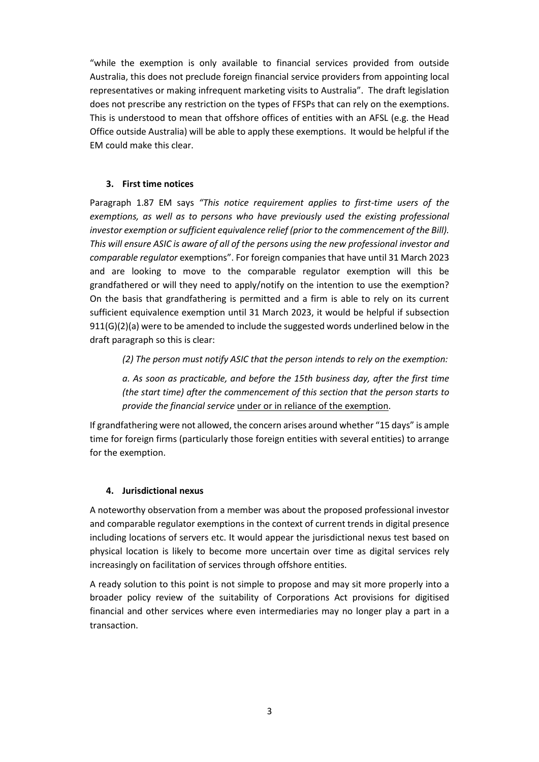"while the exemption is only available to financial services provided from outside Australia, this does not preclude foreign financial service providers from appointing local representatives or making infrequent marketing visits to Australia". The draft legislation does not prescribe any restriction on the types of FFSPs that can rely on the exemptions. This is understood to mean that offshore offices of entities with an AFSL (e.g. the Head Office outside Australia) will be able to apply these exemptions. It would be helpful if the EM could make this clear.

#### **3. First time notices**

Paragraph 1.87 EM says *"This notice requirement applies to first-time users of the*  exemptions, as well as to persons who have previously used the existing professional *investor exemption or sufficient equivalence relief (prior to the commencement of the Bill). This will ensure ASIC is aware of all of the persons using the new professional investor and comparable regulator* exemptions". For foreign companies that have until 31 March 2023 and are looking to move to the comparable regulator exemption will this be grandfathered or will they need to apply/notify on the intention to use the exemption? On the basis that grandfathering is permitted and a firm is able to rely on its current sufficient equivalence exemption until 31 March 2023, it would be helpful if subsection 911(G)(2)(a) were to be amended to include the suggested words underlined below in the draft paragraph so this is clear:

*(2) The person must notify ASIC that the person intends to rely on the exemption:*

*a. As soon as practicable, and before the 15th business day, after the first time (the start time) after the commencement of this section that the person starts to provide the financial service* under or in reliance of the exemption.

If grandfathering were not allowed, the concern arises around whether "15 days" is ample time for foreign firms (particularly those foreign entities with several entities) to arrange for the exemption.

#### **4. Jurisdictional nexus**

A noteworthy observation from a member was about the proposed professional investor and comparable regulator exemptions in the context of current trends in digital presence including locations of servers etc. It would appear the jurisdictional nexus test based on physical location is likely to become more uncertain over time as digital services rely increasingly on facilitation of services through offshore entities.

A ready solution to this point is not simple to propose and may sit more properly into a broader policy review of the suitability of Corporations Act provisions for digitised financial and other services where even intermediaries may no longer play a part in a transaction.